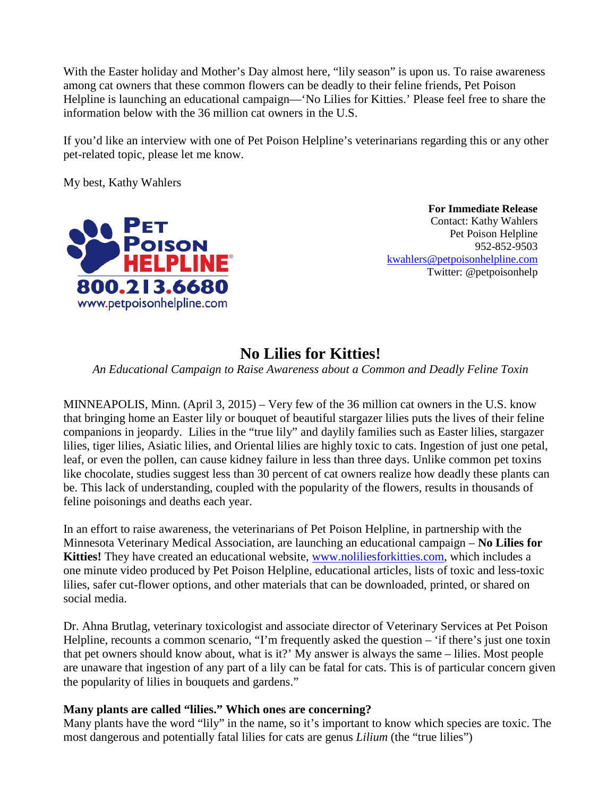With the Easter holiday and Mother's Day almost here, "lily season" is upon us. To raise awareness among cat owners that these common flowers can be deadly to their feline friends, Pet Poison Helpline is launching an educational campaign—'No Lilies for Kitties.' Please feel free to share the information below with the 36 million cat owners in the U.S.

If you'd like an interview with one of Pet Poison Helpline's veterinarians regarding this or any other pet-related topic, please let me know.

My best, Kathy Wahlers



 **For Immediate Release** Contact: Kathy Wahlers Pet Poison Helpline 952-852-9503 [kwahlers@petpoisonhelpline.com](mailto:kwahlers@petpoisonhelpline.com) Twitter: @petpoisonhelp

## **No Lilies for Kitties!**

*An Educational Campaign to Raise Awareness about a Common and Deadly Feline Toxin*

MINNEAPOLIS, Minn. (April 3, 2015) – Very few of the 36 million cat owners in the U.S. know that bringing home an Easter lily or bouquet of beautiful stargazer lilies puts the lives of their feline companions in jeopardy. Lilies in the "true lily" and daylily families such as Easter lilies, stargazer lilies, tiger lilies, Asiatic lilies, and Oriental lilies are highly toxic to cats. Ingestion of just one petal, leaf, or even the pollen, can cause kidney failure in less than three days. Unlike common pet toxins like chocolate, studies suggest less than 30 percent of cat owners realize how deadly these plants can be. This lack of understanding, coupled with the popularity of the flowers, results in thousands of feline poisonings and deaths each year.

In an effort to raise awareness, the veterinarians of Pet Poison Helpline, in partnership with the Minnesota Veterinary Medical Association, are launching an educational campaign – **No Lilies for Kitties!** They have created an educational website, [www.noliliesforkitties.com,](http://www.noliliesforkitties.com/) which includes a one minute video produced by Pet Poison Helpline, educational articles, lists of toxic and less-toxic lilies, safer cut-flower options, and other materials that can be downloaded, printed, or shared on social media.

Dr. Ahna Brutlag, veterinary toxicologist and associate director of Veterinary Services at Pet Poison Helpline, recounts a common scenario, "I'm frequently asked the question – 'if there's just one toxin that pet owners should know about, what is it?' My answer is always the same – lilies. Most people are unaware that ingestion of any part of a lily can be fatal for cats. This is of particular concern given the popularity of lilies in bouquets and gardens."

## **Many plants are called "lilies." Which ones are concerning?**

Many plants have the word "lily" in the name, so it's important to know which species are toxic. The most dangerous and potentially fatal lilies for cats are genus *Lilium* (the "true lilies")